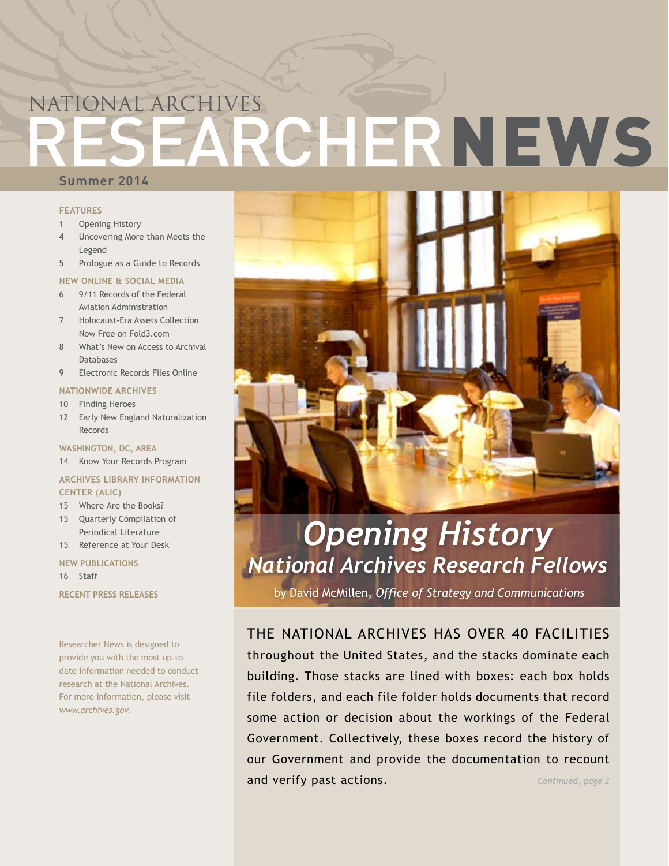# RESEARCHERNEWS NATIONAL ARCHIVES

### **Summer 2014**

#### **FEATURES**

- 1 Opening History
- 4 [Uncovering More than Meets the](#page-3-0)  [Legend](#page-3-0)
- 5 [Prologue as a Guide to Records](#page-4-0)

#### **NEW ONLINE & SOCIAL MEDIA**

- 6 [9/11 Records of the Federal](#page-5-0)  [Aviation Administration](#page-5-0)
- 7 [Holocaust-Era Assets Collection](#page-6-0)  [Now Free on Fold3.com](#page-6-0)
- 8 [What's New on Access to Archival](#page-7-0)  [Databases](#page-7-0)
- 9 [Electronic Records Files Online](#page-8-0)

#### **NATIONWIDE ARCHIVES**

- 10 [Finding Heroes](#page-9-0)
- 12 [Early New England Naturalization](#page-11-0)  [Records](#page-11-0)

**WASHINGTON, DC, AREA**

14 [Know Your Records Program](#page-13-0)

#### **ARCHIVES LIBRARY INFORMATION CENTER (ALIC)**

- [15 Where](#page-14-0) Are the Books?
- [15 Quarterly Compilation of](#page-14-0)  [Periodical Literature](#page-14-0)
- 15 [Reference at Your Desk](#page-14-0)

**NEW PUBLICATIONS**

16 [Staff](#page-15-0)

**RECENT PRESS RELEASES**

Researcher News is designed to provide you with the most up-todate information needed to conduct research at the National Archives. For more information, please visit *<www.archives.gov>.*



### *Opening History National Archives Research Fellows*

by David McMillen, *Office of Strategy and Communications*

*Continued, page 2* THE NATIONAL ARCHIVES HAS OVER 40 FACILITIES throughout the United States, and the stacks dominate each building. Those stacks are lined with boxes: each box holds file folders, and each file folder holds documents that record some action or decision about the workings of the Federal Government. Collectively, these boxes record the history of our Government and provide the documentation to recount and verify past actions.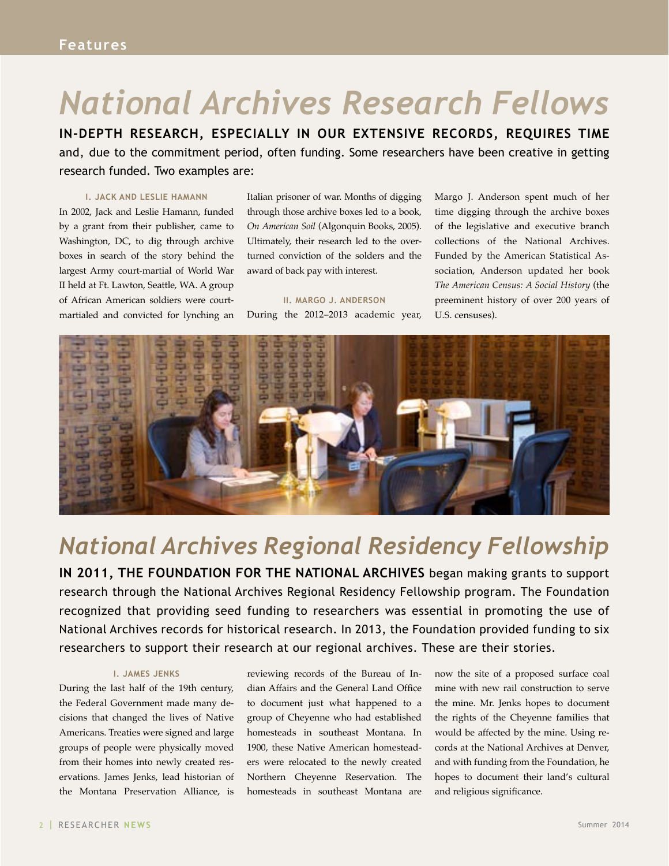## *National Archives Research Fellows*

**IN-DEPTH RESEARCH, ESPECIALLY IN OUR EXTENSIVE RECORDS, REQUIRES TIME**  and, due to the commitment period, often funding. Some researchers have been creative in getting research funded. Two examples are:

#### **I. JACK AND LESLIE HAMANN**

In 2002, Jack and Leslie Hamann, funded by a grant from their publisher, came to Washington, DC, to dig through archive boxes in search of the story behind the largest Army court-martial of World War II held at Ft. Lawton, Seattle, WA. A group of African American soldiers were courtmartialed and convicted for lynching an Italian prisoner of war. Months of digging through those archive boxes led to a book*, On American Soil* (Algonquin Books, 2005). Ultimately, their research led to the overturned conviction of the solders and the award of back pay with interest.

#### **II. MARGO J. ANDERSON**

During the 2012–2013 academic year,

Margo J. Anderson spent much of her time digging through the archive boxes of the legislative and executive branch collections of the National Archives. Funded by the American Statistical Association, Anderson updated her book *The American Census: A Social History* (the preeminent history of over 200 years of U.S. censuses).



### *National Archives Regional Residency Fellowship*

**IN 2011, THE FOUNDATION FOR THE NATIONAL ARCHIVES** began making grants to support research through the National Archives Regional Residency Fellowship program. The Foundation recognized that providing seed funding to researchers was essential in promoting the use of National Archives records for historical research. In 2013, the Foundation provided funding to six researchers to support their research at our regional archives. These are their stories.

#### **I. JAMES JENKS**

During the last half of the 19th century, the Federal Government made many decisions that changed the lives of Native Americans. Treaties were signed and large groups of people were physically moved from their homes into newly created reservations. James Jenks, lead historian of the Montana Preservation Alliance, is

reviewing records of the Bureau of Indian Affairs and the General Land Office to document just what happened to a group of Cheyenne who had established homesteads in southeast Montana. In 1900, these Native American homesteaders were relocated to the newly created Northern Cheyenne Reservation. The homesteads in southeast Montana are

now the site of a proposed surface coal mine with new rail construction to serve the mine. Mr. Jenks hopes to document the rights of the Cheyenne families that would be affected by the mine. Using records at the National Archives at Denver, and with funding from the Foundation, he hopes to document their land's cultural and religious significance.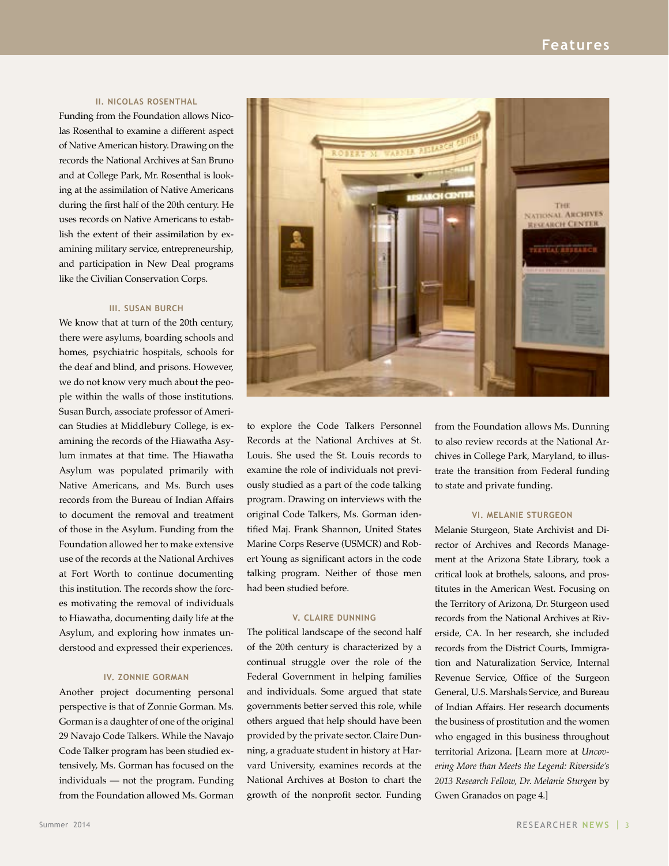#### **II. NICOLAS ROSENTHAL**

Funding from the Foundation allows Nicolas Rosenthal to examine a different aspect of Native American history. Drawing on the records the National Archives at San Bruno and at College Park, Mr. Rosenthal is looking at the assimilation of Native Americans during the first half of the 20th century. He uses records on Native Americans to establish the extent of their assimilation by examining military service, entrepreneurship, and participation in New Deal programs like the Civilian Conservation Corps.

#### **III. SUSAN BURCH**

We know that at turn of the 20th century, there were asylums, boarding schools and homes, psychiatric hospitals, schools for the deaf and blind, and prisons. However, we do not know very much about the people within the walls of those institutions. Susan Burch, associate professor of American Studies at Middlebury College, is examining the records of the Hiawatha Asylum inmates at that time. The Hiawatha Asylum was populated primarily with Native Americans, and Ms. Burch uses records from the Bureau of Indian Affairs to document the removal and treatment of those in the Asylum. Funding from the Foundation allowed her to make extensive use of the records at the National Archives at Fort Worth to continue documenting this institution. The records show the forces motivating the removal of individuals to Hiawatha, documenting daily life at the Asylum, and exploring how inmates understood and expressed their experiences.

#### **IV. ZONNIE GORMAN**

Another project documenting personal perspective is that of Zonnie Gorman. Ms. Gorman is a daughter of one of the original 29 Navajo Code Talkers. While the Navajo Code Talker program has been studied extensively, Ms. Gorman has focused on the individuals — not the program. Funding from the Foundation allowed Ms. Gorman



to explore the Code Talkers Personnel Records at the National Archives at St. Louis. She used the St. Louis records to examine the role of individuals not previously studied as a part of the code talking program. Drawing on interviews with the original Code Talkers, Ms. Gorman identified Maj. Frank Shannon, United States Marine Corps Reserve (USMCR) and Robert Young as significant actors in the code talking program. Neither of those men had been studied before.

#### **V. CLAIRE DUNNING**

The political landscape of the second half of the 20th century is characterized by a continual struggle over the role of the Federal Government in helping families and individuals. Some argued that state governments better served this role, while others argued that help should have been provided by the private sector. Claire Dunning, a graduate student in history at Harvard University, examines records at the National Archives at Boston to chart the growth of the nonprofit sector. Funding from the Foundation allows Ms. Dunning to also review records at the National Archives in College Park, Maryland, to illustrate the transition from Federal funding to state and private funding.

#### **VI. MELANIE STURGEON**

Melanie Sturgeon, State Archivist and Director of Archives and Records Management at the Arizona State Library, took a critical look at brothels, saloons, and prostitutes in the American West. Focusing on the Territory of Arizona, Dr. Sturgeon used records from the National Archives at Riverside, CA. In her research, she included records from the District Courts, Immigration and Naturalization Service, Internal Revenue Service, Office of the Surgeon General, U.S. Marshals Service, and Bureau of Indian Affairs. Her research documents the business of prostitution and the women who engaged in this business throughout territorial Arizona. [Learn more at *Uncovering More than Meets the Legend: Riverside's 2013 Research Fellow, Dr. Melanie Sturgen* by Gwen Granados on page 4.]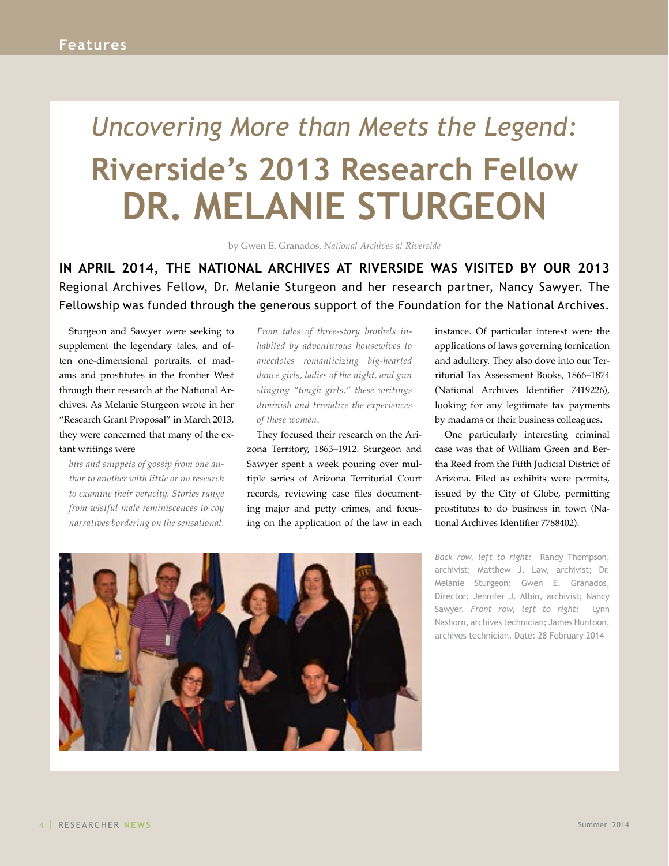## <span id="page-3-0"></span>*Uncovering More than Meets the Legend:*  **Riverside's 2013 Research Fellow DR. MELANIE STURGEON**

by Gwen E. Granados, *National Archives at Riverside*

**IN APRIL 2014, THE NATIONAL ARCHIVES AT RIVERSIDE WAS VISITED BY OUR 2013** Regional Archives Fellow, Dr. Melanie Sturgeon and her research partner, Nancy Sawyer. The Fellowship was funded through the generous support of the Foundation for the National Archives.

Sturgeon and Sawyer were seeking to supplement the legendary tales, and often one-dimensional portraits, of madams and prostitutes in the frontier West through their research at the National Archives. As Melanie Sturgeon wrote in her "Research Grant Proposal" in March 2013, they were concerned that many of the extant writings were

*bits and snippets of gossip from one author to another with little or no research to examine their veracity. Stories range from wistful male reminiscences to coy narratives bordering on the sensational.*  *From tales of three-story brothels inhabited by adventurous housewives to anecdotes romanticizing big-hearted dance girls, ladies of the night, and gun slinging "tough girls," these writings diminish and trivialize the experiences of these women*.

They focused their research on the Arizona Territory, 1863–1912. Sturgeon and Sawyer spent a week pouring over multiple series of Arizona Territorial Court records, reviewing case files documenting major and petty crimes, and focusing on the application of the law in each

instance. Of particular interest were the applications of laws governing fornication and adultery. They also dove into our Territorial Tax Assessment Books, 1866–1874 (National Archives Identifier 7419226), looking for any legitimate tax payments by madams or their business colleagues.

One particularly interesting criminal case was that of William Green and Bertha Reed from the Fifth Judicial District of Arizona. Filed as exhibits were permits, issued by the City of Globe, permitting prostitutes to do business in town (National Archives Identifier 7788402).

*Back row, left to right:* Randy Thompson, archivist; Matthew J. Law, archivist; Dr. Melanie Sturgeon; Gwen E. Granados, Director; Jennifer J. Albin, archivist; Nancy Sawyer. *Front row, left to right:* Lynn Nashorn, archives technician; James Huntoon, archives technician. Date: 28 February 2014

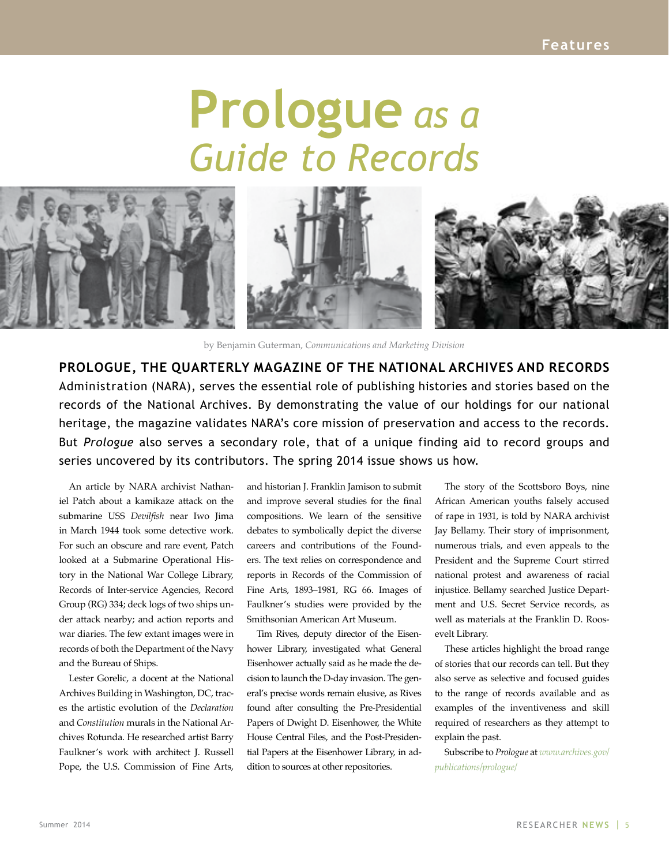# **Prologue** *as a Guide to Records*

<span id="page-4-0"></span>

by Benjamin Guterman, *Communications and Marketing Division*

**PROLOGUE, THE QUARTERLY MAGAZINE OF THE NATIONAL ARCHIVES AND RECORDS**  Administration (NARA), serves the essential role of publishing histories and stories based on the records of the National Archives. By demonstrating the value of our holdings for our national heritage, the magazine validates NARA's core mission of preservation and access to the records. But *Prologue* also serves a secondary role, that of a unique finding aid to record groups and series uncovered by its contributors. The spring 2014 issue shows us how.

An article by NARA archivist Nathaniel Patch about a kamikaze attack on the submarine USS *Devilfish* near Iwo Jima in March 1944 took some detective work. For such an obscure and rare event, Patch looked at a Submarine Operational History in the National War College Library, Records of Inter-service Agencies, Record Group (RG) 334; deck logs of two ships under attack nearby; and action reports and war diaries. The few extant images were in records of both the Department of the Navy and the Bureau of Ships.

Lester Gorelic, a docent at the National Archives Building in Washington, DC, traces the artistic evolution of the *Declaration* and *Constitution* murals in the National Archives Rotunda. He researched artist Barry Faulkner's work with architect J. Russell Pope, the U.S. Commission of Fine Arts,

and historian J. Franklin Jamison to submit and improve several studies for the final compositions. We learn of the sensitive debates to symbolically depict the diverse careers and contributions of the Founders. The text relies on correspondence and reports in Records of the Commission of Fine Arts, 1893–1981, RG 66. Images of Faulkner's studies were provided by the Smithsonian American Art Museum.

Tim Rives, deputy director of the Eisenhower Library, investigated what General Eisenhower actually said as he made the decision to launch the D-day invasion. The general's precise words remain elusive, as Rives found after consulting the Pre-Presidential Papers of Dwight D. Eisenhower, the White House Central Files, and the Post-Presidential Papers at the Eisenhower Library, in addition to sources at other repositories.

The story of the Scottsboro Boys, nine African American youths falsely accused of rape in 1931, is told by NARA archivist Jay Bellamy. Their story of imprisonment, numerous trials, and even appeals to the President and the Supreme Court stirred national protest and awareness of racial injustice. Bellamy searched Justice Department and U.S. Secret Service records, as well as materials at the Franklin D. Roosevelt Library.

These articles highlight the broad range of stories that our records can tell. But they also serve as selective and focused guides to the range of records available and as examples of the inventiveness and skill required of researchers as they attempt to explain the past.

Subscribe to *Prologue* at *[www.archives.gov/](http://www.archives.gov/publications/prologue/) [publications/prologue/](http://www.archives.gov/publications/prologue/)*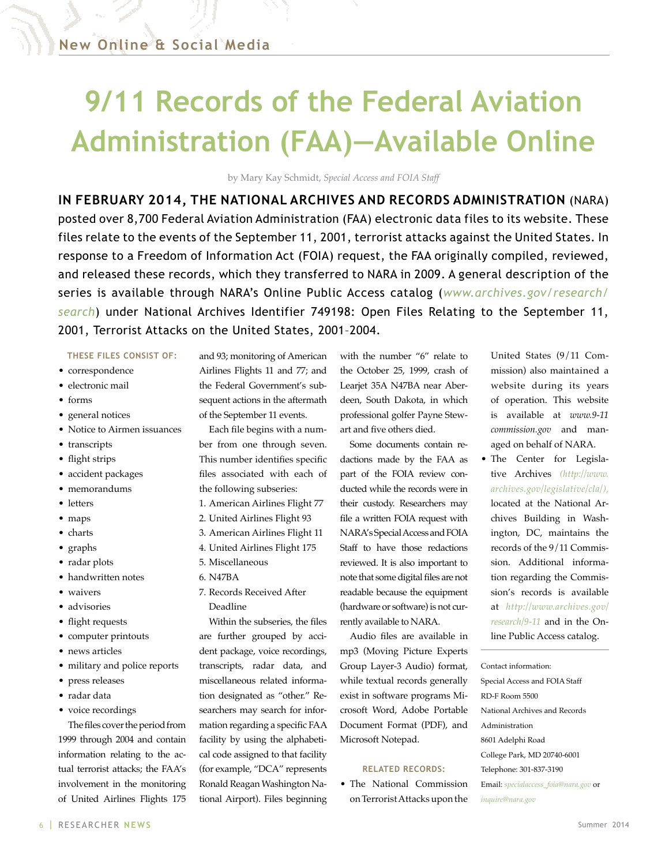### <span id="page-5-0"></span>**9/11 Records of the Federal Aviation Administration (FAA)—Available Online**

by Mary Kay Schmidt, *Special Access and FOIA Staff*

**IN FEBRUARY 2014, THE NATIONAL ARCHIVES AND RECORDS ADMINISTRATION** (NARA) posted over 8,700 Federal Aviation Administration (FAA) electronic data files to its website. These files relate to the events of the September 11, 2001, terrorist attacks against the United States. In response to a Freedom of Information Act (FOIA) request, the FAA originally compiled, reviewed, and released these records, which they transferred to NARA in 2009. A general description of the series is available through NARA's Online Public Access catalog (*[www.archives.gov/research/](www.archives.gov/research/search) [search](www.archives.gov/research/search)*) under National Archives Identifier 749198: Open Files Relating to the September 11, 2001, Terrorist Attacks on the United States, 2001–2004.

**THESE FILES CONSIST OF:**

- correspondence
- electronic mail
- forms
- general notices
- Notice to Airmen issuances
- transcripts
- flight strips
- accident packages
- memorandums
- letters
- maps
- charts
- graphs
- radar plots
- handwritten notes
- waivers
- advisories
- flight requests
- computer printouts
- news articles
- military and police reports
- press releases
- radar data
- voice recordings

The files cover the period from 1999 through 2004 and contain information relating to the actual terrorist attacks; the FAA's involvement in the monitoring of United Airlines Flights 175 and 93; monitoring of American Airlines Flights 11 and 77; and the Federal Government's subsequent actions in the aftermath of the September 11 events.

Each file begins with a number from one through seven. This number identifies specific files associated with each of the following subseries:

- 1. American Airlines Flight 77 2. United Airlines Flight 93
- 3. American Airlines Flight 11
- 4. United Airlines Flight 175
- 5. Miscellaneous
- 6. N47BA
- 7. Records Received After Deadline

Within the subseries, the files are further grouped by accident package, voice recordings, transcripts, radar data, and miscellaneous related information designated as "other." Researchers may search for information regarding a specific FAA facility by using the alphabetical code assigned to that facility (for example, "DCA" represents Ronald Reagan Washington National Airport). Files beginning

with the number "6" relate to the October 25, 1999, crash of Learjet 35A N47BA near Aberdeen, South Dakota, in which professional golfer Payne Stewart and five others died.

Some documents contain redactions made by the FAA as part of the FOIA review conducted while the records were in their custody. Researchers may file a written FOIA request with NARA's Special Access and FOIA Staff to have those redactions reviewed. It is also important to note that some digital files are not readable because the equipment (hardware or software) is not currently available to NARA.

Audio files are available in mp3 (Moving Picture Experts Group Layer-3 Audio) format, while textual records generally exist in software programs Microsoft Word, Adobe Portable Document Format (PDF), and Microsoft Notepad.

#### **RELATED RECORDS:**

• The National Commission on Terrorist Attacks upon the

United States (9/11 Commission) also maintained a website during its years of operation. This website is available at *www.9-11 commission.gov* and managed on behalf of NARA.

• The Center for Legislative Archives *[\(http://www.](http://www.archives.gov/legislative/cla/) [archives.gov/legislative/cla/](http://www.archives.gov/legislative/cla/)),*  located at the National Archives Building in Washington, DC, maintains the records of the 9/11 Commission. Additional information regarding the Commission's records is available at *[http://www.archives.gov/](http://www.archives.gov/research/9-11) [research/9-11](http://www.archives.gov/research/9-11)* and in the Online Public Access catalog.

Contact information: Special Access and FOIA Staff RD-F Room 5500 National Archives and Records Administration 8601 Adelphi Road College Park, MD 20740-6001 Telephone: 301-837-3190 Email: *[specialaccess\\_foia@nara.gov](mailto:specialaccess_foia@nara.gov)* or *[inquire@nara.gov](mailto:inquire@nara.gov)*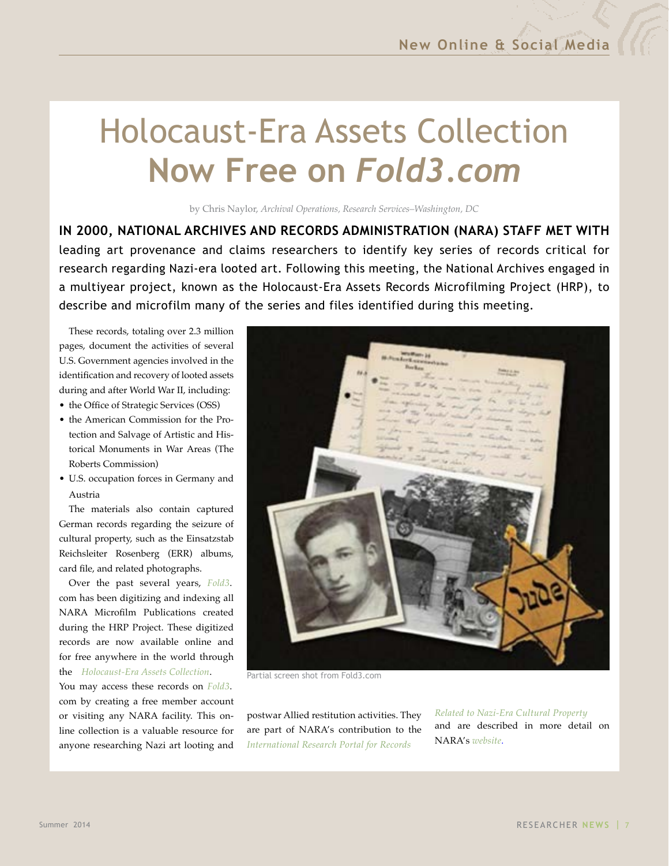## <span id="page-6-0"></span>Holocaust-Era Assets Collection **Now Free on** *[Fold3.com](www.fold3.com)*

by Chris Naylor, *Archival Operations, Research Services–Washington, DC*

**IN 2000, NATIONAL ARCHIVES AND RECORDS ADMINISTRATION (NARA) STAFF MET WITH** leading art provenance and claims researchers to identify key series of records critical for research regarding Nazi-era looted art. Following this meeting, the National Archives engaged in a multiyear project, known as the Holocaust-Era Assets Records Microfilming Project (HRP), to describe and microfilm many of the series and files identified during this meeting.

These records, totaling over 2.3 million pages, document the activities of several U.S. Government agencies involved in the identification and recovery of looted assets during and after World War II, including:

- the Office of Strategic Services (OSS)
- the American Commission for the Protection and Salvage of Artistic and Historical Monuments in War Areas (The Roberts Commission)
- U.S. occupation forces in Germany and Austria

The materials also contain captured German records regarding the seizure of cultural property, such as the Einsatzstab Reichsleiter Rosenberg (ERR) albums, card file, and related photographs.

Over the past several years, *[Fold3](www.fold3.com)*. com has been digitizing and indexing all NARA Microfilm Publications created during the HRP Project. These digitized records are now available online and for free anywhere in the world through the *[Holocaust-Era Assets Collection](http://go.fold3.com/holocaust_records/)*.

You may access these records on *[Fold3](www.fold3.com)*. com by creating a free member account or visiting any NARA facility. This online collection is a valuable resource for anyone researching Nazi art looting and



Partial screen shot from Fold3.com

postwar Allied restitution activities. They are part of NARA's contribution to the *[International Research Portal for Records](http://www.archives.gov/research/holocaust/international-resources/)*

*[Related to Nazi-Era Cultural Property](http://www.archives.gov/research/holocaust/international-resources/)*  and are described in more detail on [NARA's](http://www.archives.gov/research/holocaust/international-resources/nara/) *website.*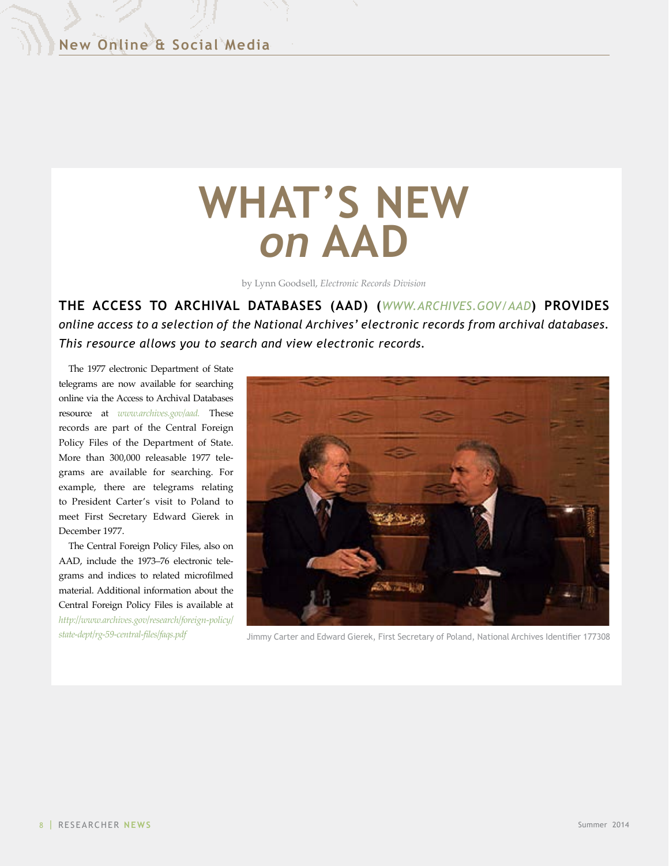# <span id="page-7-0"></span>**WHAT'S NEW** *on* **AAD**

by Lynn Goodsell, *Electronic Records Division*

**THE ACCESS TO ARCHIVAL DATABASES (AAD) (***[WWW.ARCHIVES.GOV/AAD](www.archives.gov/aad)***) PROVIDES**  *online access to a selection of the National Archives' electronic records from archival databases. This resource allows you to search and view electronic records.*

The 1977 electronic Department of State telegrams are now available for searching online via the Access to Archival Databases resource at *[www.archives.gov/aad.](www.archives.gov/aad)* These records are part of the Central Foreign Policy Files of the Department of State. More than 300,000 releasable 1977 telegrams are available for searching. For example, there are telegrams relating to President Carter's visit to Poland to meet First Secretary Edward Gierek in December 1977.

The Central Foreign Policy Files, also on AAD, include the 1973–76 electronic telegrams and indices to related microfilmed material. Additional information about the Central Foreign Policy Files is available at *[http://www.archives.gov/research/foreign-policy/](http://www.archives.gov/research/foreign-policy/state-dept/rg-59-central-files/faqs.pdf)*



*[state-dept/rg-59-central-files/faqs.pdf](http://www.archives.gov/research/foreign-policy/state-dept/rg-59-central-files/faqs.pdf)* Jimmy Carter and Edward Gierek, First Secretary of Poland, National Archives Identifier 177308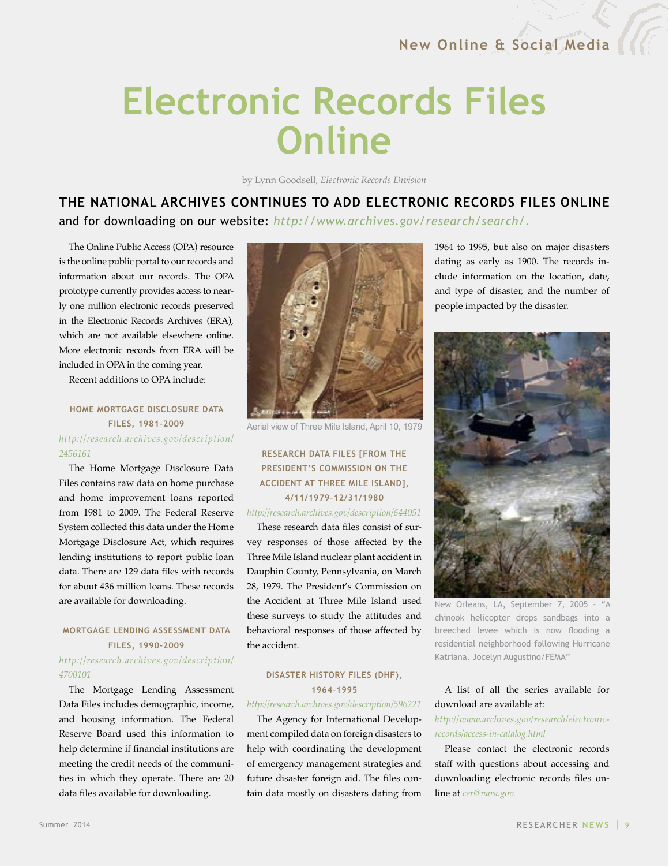## <span id="page-8-0"></span>**Electronic Records Files Online**

by Lynn Goodsell, *Electronic Records Division*

### **THE NATIONAL ARCHIVES CONTINUES TO ADD ELECTRONIC RECORDS FILES ONLINE**  and for downloading on our website: *<http://www.archives.gov/research/search/>.*

The Online Public Access (OPA) resource is the online public portal to our records and information about our records. The OPA prototype currently provides access to nearly one million electronic records preserved in the Electronic Records Archives (ERA), which are not available elsewhere online. More electronic records from ERA will be included in OPA in the coming year.

Recent additions to OPA include:

#### **HOME MORTGAGE DISCLOSURE DATA FILES, 1981–2009** *[http://research.archives.gov/description/](http://research.archives.gov/description/2456161) [2456161](http://research.archives.gov/description/2456161)*

The Home Mortgage Disclosure Data Files contains raw data on home purchase and home improvement loans reported from 1981 to 2009. The Federal Reserve System collected this data under the Home Mortgage Disclosure Act, which requires lending institutions to report public loan data. There are 129 data files with records for about 436 million loans. These records are available for downloading.

#### **MORTGAGE LENDING ASSESSMENT DATA FILES, 1990–2009**

#### *[http://research.archives.gov/description/](http://research.archives.gov/description/4700101) [4700101](http://research.archives.gov/description/4700101)*

The Mortgage Lending Assessment Data Files includes demographic, income, and housing information. The Federal Reserve Board used this information to help determine if financial institutions are meeting the credit needs of the communities in which they operate. There are 20 data files available for downloading.



Aerial view of Three Mile Island, April 10, 1979

#### **RESEARCH DATA FILES [FROM THE PRESIDENT'S COMMISSION ON THE ACCIDENT AT THREE MILE ISLAND], 4/11/1979–12/31/1980**

#### *<http://research.archives.gov/description/644051>*

These research data files consist of survey responses of those affected by the Three Mile Island nuclear plant accident in Dauphin County, Pennsylvania, on March 28, 1979. The President's Commission on the Accident at Three Mile Island used these surveys to study the attitudes and behavioral responses of those affected by the accident.

#### **DISASTER HISTORY FILES (DHF), 1964–1995**

#### *<http://research.archives.gov/description/596221>*

The Agency for International Development compiled data on foreign disasters to help with coordinating the development of emergency management strategies and future disaster foreign aid. The files contain data mostly on disasters dating from 1964 to 1995, but also on major disasters dating as early as 1900. The records include information on the location, date, and type of disaster, and the number of people impacted by the disaster.



New Orleans, LA, September 7, 2005 – "A chinook helicopter drops sandbags into a breeched levee which is now flooding a residential neighborhood following Hurricane Katriana. Jocelyn Augustino/FEMA"

#### A list of all the series available for download are available at:

#### *[http://www.archives.gov/research/electronic](http://www.archives.gov/research/electronic-records/access-in-catalog.html)[records/access-in-catalog.html](http://www.archives.gov/research/electronic-records/access-in-catalog.html)*

Please contact the electronic records staff with questions about accessing and downloading electronic records files online at *[cer@nara.gov](mailto:cer@nara.gov).*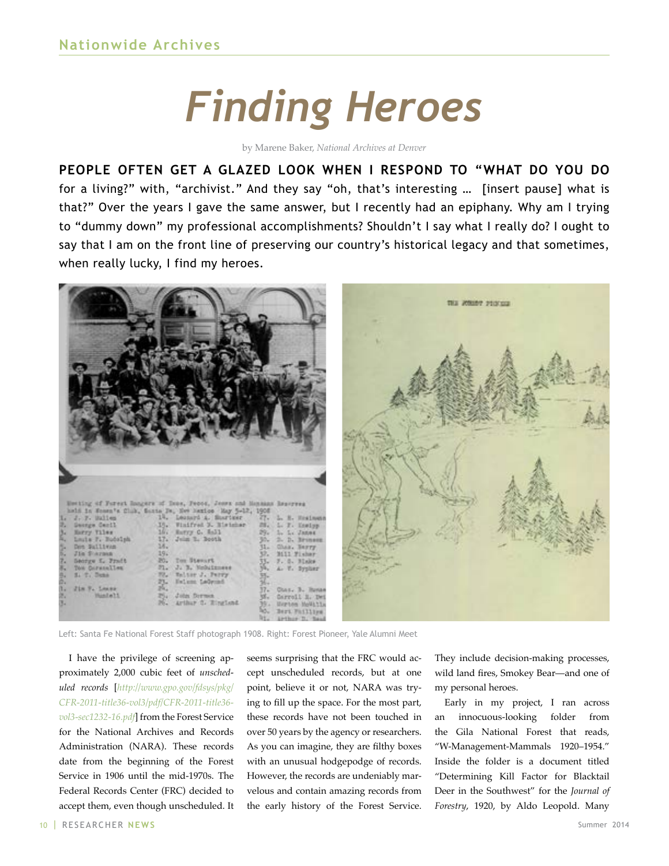# *Finding Heroes*

by Marene Baker, *National Archives at Denver*

<span id="page-9-0"></span>**PEOPLE OFTEN GET A GLAZED LOOK WHEN I RESPOND TO "WHAT DO YOU DO**  for a living?" with, "archivist." And they say "oh, that's interesting … [insert pause] what is that?" Over the years I gave the same answer, but I recently had an epiphany. Why am I trying to "dummy down" my professional accomplishments? Shouldn't I say what I really do? I ought to say that I am on the front line of preserving our country's historical legacy and that sometimes, when really lucky, I find my heroes.



Left: Santa Fe National Forest Staff photograph 1908. Right: Forest Pioneer, Yale Alumni Meet

I have the privilege of screening approximately 2,000 cubic feet of *unscheduled records* [*[http://www.gpo.gov/fdsys/pkg/](http://www.gpo.gov/fdsys/pkg/CFR-2011-title36-vol3/pdf/CFR-2011-title36-vol3-sec1232-16.pdf) [CFR-2011-title36-vol3/pdf/CFR-2011-title36](http://www.gpo.gov/fdsys/pkg/CFR-2011-title36-vol3/pdf/CFR-2011-title36-vol3-sec1232-16.pdf) [vol3-sec1232-16.pdf](http://www.gpo.gov/fdsys/pkg/CFR-2011-title36-vol3/pdf/CFR-2011-title36-vol3-sec1232-16.pdf)*] from the Forest Service for the National Archives and Records Administration (NARA). These records date from the beginning of the Forest Service in 1906 until the mid-1970s. The Federal Records Center (FRC) decided to accept them, even though unscheduled. It

seems surprising that the FRC would accept unscheduled records, but at one point, believe it or not, NARA was trying to fill up the space. For the most part, these records have not been touched in over 50 years by the agency or researchers. As you can imagine, they are filthy boxes with an unusual hodgepodge of records. However, the records are undeniably marvelous and contain amazing records from the early history of the Forest Service.

They include decision-making processes, wild land fires, Smokey Bear—and one of my personal heroes.

Early in my project, I ran across an innocuous-looking folder from the Gila National Forest that reads, "W-Management-Mammals 1920–1954." Inside the folder is a document titled "Determining Kill Factor for Blacktail Deer in the Southwest" for the *Journal of Forestry*, 1920, by Aldo Leopold. Many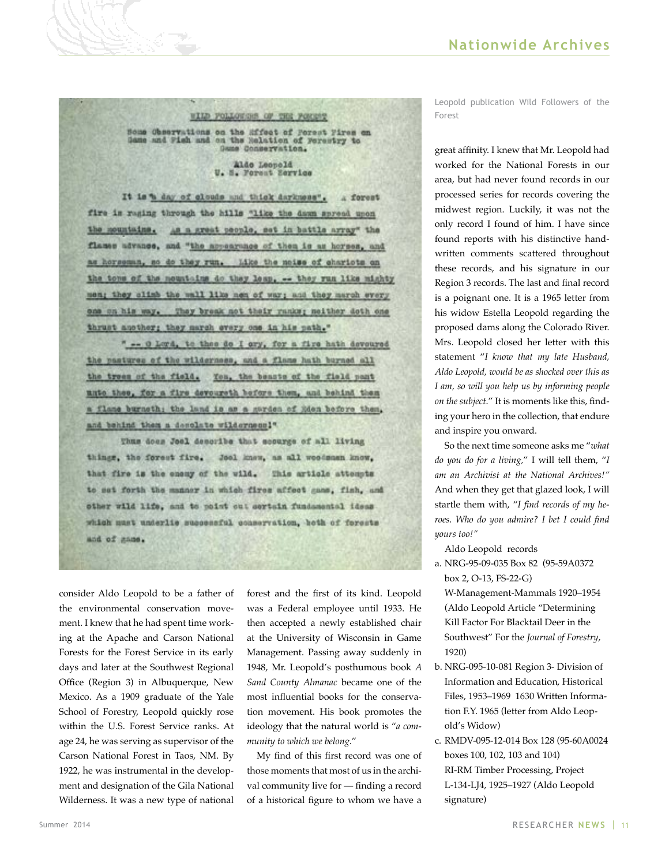#### WILD FOLLOWERS OF THE FORDAY

Home Chearvations on the Mifest of Porset Pires on<br>Same and Pish and on the Nalation of Forestry to

Aldo Leopold U. N. Forest Zervice

It is a day of clouds and thick darkness". forest fire is reging through the hills "like the dawn spread upon As a great people, set in battle array" the the mountains. flames advance, and "the aspearance of them is as horses, and as horsemun, so do they run. Like the neise of charicts on the tons of the nountains do they less. -- they run like mighty men; they climb the wall like men of war; and they march every one on his way. They break not their ranks; neither doth one thrust another; they march every one in his path."

" -- 0 Lord, to thee do I cry, for a fire hath devoured the pastures of the wilderness, and a flame hath burned all the trees of the field. You, the beasts of the field post unto thee, for a fire devoureth before them, and behind them a flame burneth; the land is as a garden of Rden before them. and behind them a desolate wilderness!"

Thus does Joel describe that scourge of all living things, the forest fire. Joel knew, as all weedman know. that fire is the enemy of the wild. This article attempts to set forth the manner in which fires affect game, fish, and other wild life, and to point out sertain fundamental ideas which must underlie successful conservation, hoth of forests and of game.

consider Aldo Leopold to be a father of the environmental conservation movement. I knew that he had spent time working at the Apache and Carson National Forests for the Forest Service in its early days and later at the Southwest Regional Office (Region 3) in Albuquerque, New Mexico. As a 1909 graduate of the Yale School of Forestry, Leopold quickly rose within the U.S. Forest Service ranks. At age 24, he was serving as supervisor of the Carson National Forest in Taos, NM. By 1922, he was instrumental in the development and designation of the Gila National Wilderness. It was a new type of national

forest and the first of its kind. Leopold was a Federal employee until 1933. He then accepted a newly established chair at the University of Wisconsin in Game Management. Passing away suddenly in 1948, Mr. Leopold's posthumous book *A Sand County Almanac* became one of the most influential books for the conservation movement. His book promotes the ideology that the natural world is "*a community to which we belong*."

My find of this first record was one of those moments that most of us in the archival community live for — finding a record of a historical figure to whom we have a Leopold publication Wild Followers of the Forest

great affinity. I knew that Mr. Leopold had worked for the National Forests in our area, but had never found records in our processed series for records covering the midwest region. Luckily, it was not the only record I found of him. I have since found reports with his distinctive handwritten comments scattered throughout these records, and his signature in our Region 3 records. The last and final record is a poignant one. It is a 1965 letter from his widow Estella Leopold regarding the proposed dams along the Colorado River. Mrs. Leopold closed her letter with this statement "*I know that my late Husband, Aldo Leopold, would be as shocked over this as I am, so will you help us by informing people on the subject*." It is moments like this, finding your hero in the collection, that endure and inspire you onward.

So the next time someone asks me "*what do you do for a living,*" I will tell them, "*I am an Archivist at the National Archives!"* And when they get that glazed look, I will startle them with, "*I find records of my heroes. Who do you admire? I bet I could find yours too!"*

Aldo Leopold records

a. NRG-95-09-035 Box 82 (95-59A0372 box 2, O-13, FS-22-G)

W-Management-Mammals 1920–1954 (Aldo Leopold Article "Determining Kill Factor For Blacktail Deer in the Southwest" For the *Journal of Forestry*, 1920)

- b. NRG-095-10-081 Region 3- Division of Information and Education, Historical Files, 1953–1969 1630 Written Information F.Y. 1965 (letter from Aldo Leopold's Widow)
- c. RMDV-095-12-014 Box 128 (95-60A0024 boxes 100, 102, 103 and 104) RI-RM Timber Processing, Project L-134-LJ4, 1925–1927 (Aldo Leopold signature)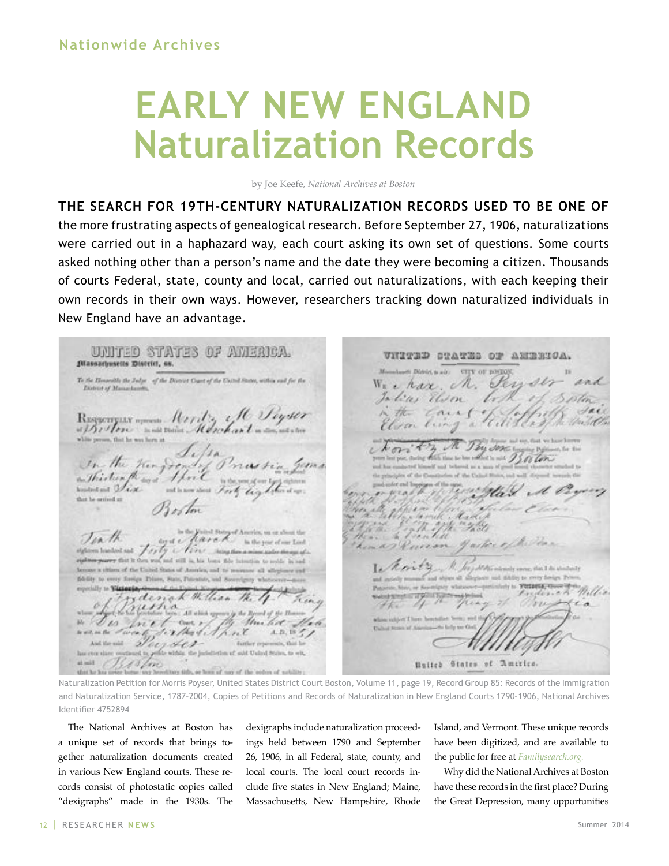# <span id="page-11-0"></span>**EARLY NEW ENGLAND Naturalization Records**

by Joe Keefe*, National Archives at Boston*

**THE SEARCH FOR 19TH-CENTURY NATURALIZATION RECORDS USED TO BE ONE OF** the more frustrating aspects of genealogical research. Before September 27, 1906, naturalizations were carried out in a haphazard way, each court asking its own set of questions. Some courts asked nothing other than a person's name and the date they were becoming a citizen. Thousands of courts Federal, state, county and local, carried out naturalizations, with each keeping their own records in their own ways. However, researchers tracking down naturalized individuals in New England have an advantage.

UNITED STATES OF AMERICA. UNITED STATES OF ANTENIOA. Massarhusetts District, as. To the Howwells the Judge of the Discourt Coast of the United States, within and for the char M. District of Massache lius Reserves for the file Seyser and These said Units United States of America

Naturalization Petition for Morris Poyser, United States District Court Boston, Volume 11, page 19, Record Group 85: Records of the Immigration and Naturalization Service, 1787–2004, Copies of Petitions and Records of Naturalization in New England Courts 1790–1906, National Archives Identifier 4752894

The National Archives at Boston has a unique set of records that brings together naturalization documents created in various New England courts. These records consist of photostatic copies called "dexigraphs" made in the 1930s. The

dexigraphs include naturalization proceedings held between 1790 and September 26, 1906, in all Federal, state, county, and local courts. The local court records include five states in New England; Maine, Massachusetts, New Hampshire, Rhode Island, and Vermont. These unique records have been digitized, and are available to the public for free at *[Familysearch.org](https://familysearch.org/).*

Why did the National Archives at Boston have these records in the first place? During the Great Depression, many opportunities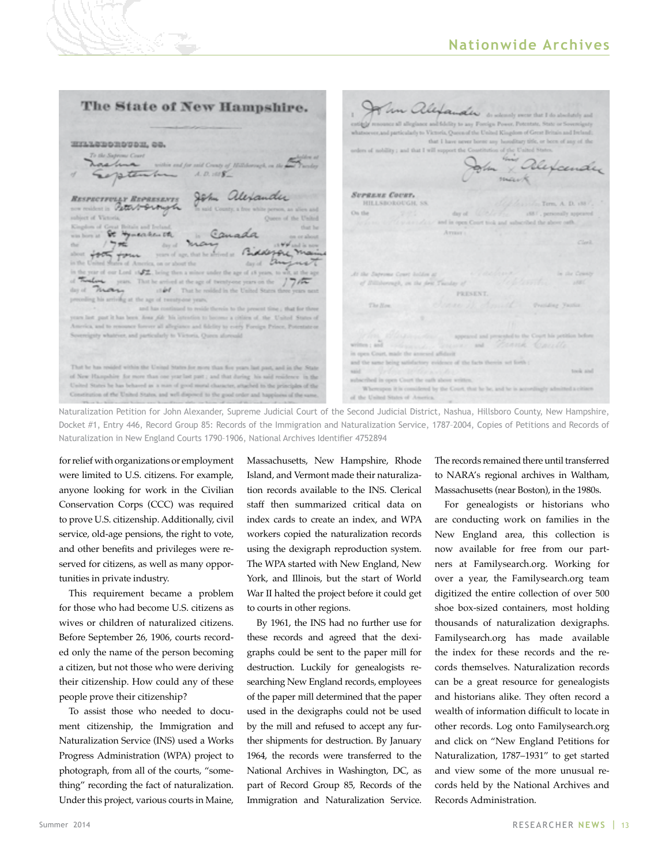The State of New Hampshire. John alexander Victoria, Queen of the United Kithat I have never horse any horo-HILLSDORDUDH, GO. copy live I safe is at the Constitution of the United Stat Dexand spten  $A, D, 1018$ Jem alexander SUPREME COURT. RESPECTFULLY REPRESENTS **HILLSBOROUGH, SS** Term, A. D. 188 an million in Peters-Service Co. the day of  $(58)$ , personally ap subject of Victoria d in open 0 at Boltzaler and Book Canada Arrester St Hymenheisth  $1 - ne$ day of foot form years of age, that he are  $\sqrt{2}$ dolezon.  $\mathcal{E}$ on or about the year of our Lord of 2. being then a min under the age of 18 years, to years. That he arrived at the age of twenty-one years on the of Billsborough, on the desiman  $\imath\pi\dot{\pmb{\omega}}\pmb{\ell}$  . That he resided in the United States **PRESENT** g his arriving at the age of twenty-one years, The Nos and has continued to reside t years last part it has been Jone Ale Ma intenden to become a citien of the United States of ics, and to renounce forever all allegiance and fidelity to every Foreign Pri ignty whatever, and particularly to Victoria, Oueca alon  $rac{1}{2}$ and . Connel. in man Court, wade the a and the same being satisfactory guidence of the facts therein set forth That he has resided within the United States for more than five y track and of New Hampshire for more than one year last part; and that during his said residence in the United States he has behaved as a man of good moral character, attached to the principles of the Whereupon it is one sidered by the Court, that he he, and he is Constitution of the United States, and well-disposed to the good order and happiness of the saof the United States of Ame

Naturalization Petition for John Alexander, Supreme Judicial Court of the Second Judicial District, Nashua, Hillsboro County, New Hampshire, Docket #1, Entry 446, Record Group 85: Records of the Immigration and Naturalization Service, 1787–2004, Copies of Petitions and Records of Naturalization in New England Courts 1790–1906, National Archives Identifier 4752894

for relief with organizations or employment were limited to U.S. citizens. For example, anyone looking for work in the Civilian Conservation Corps (CCC) was required to prove U.S. citizenship. Additionally, civil service, old-age pensions, the right to vote, and other benefits and privileges were reserved for citizens, as well as many opportunities in private industry.

This requirement became a problem for those who had become U.S. citizens as wives or children of naturalized citizens. Before September 26, 1906, courts recorded only the name of the person becoming a citizen, but not those who were deriving their citizenship. How could any of these people prove their citizenship?

To assist those who needed to document citizenship, the Immigration and Naturalization Service (INS) used a Works Progress Administration (WPA) project to photograph, from all of the courts, "something" recording the fact of naturalization. Under this project, various courts in Maine, Massachusetts, New Hampshire, Rhode Island, and Vermont made their naturalization records available to the INS. Clerical staff then summarized critical data on index cards to create an index, and WPA workers copied the naturalization records using the dexigraph reproduction system. The WPA started with New England, New York, and Illinois, but the start of World War II halted the project before it could get to courts in other regions.

By 1961, the INS had no further use for these records and agreed that the dexigraphs could be sent to the paper mill for destruction. Luckily for genealogists researching New England records, employees of the paper mill determined that the paper used in the dexigraphs could not be used by the mill and refused to accept any further shipments for destruction. By January 1964, the records were transferred to the National Archives in Washington, DC, as part of Record Group 85, Records of the Immigration and Naturalization Service.

The records remained there until transferred to NARA's regional archives in Waltham, Massachusetts (near Boston), in the 1980s.

For genealogists or historians who are conducting work on families in the New England area, this collection is now available for free from our partners at Familysearch.org. Working for over a year, the Familysearch.org team digitized the entire collection of over 500 shoe box-sized containers, most holding thousands of naturalization dexigraphs. Familysearch.org has made available the index for these records and the records themselves. Naturalization records can be a great resource for genealogists and historians alike. They often record a wealth of information difficult to locate in other records. Log onto Familysearch.org and click on "New England Petitions for Naturalization, 1787–1931" to get started and view some of the more unusual records held by the National Archives and Records Administration.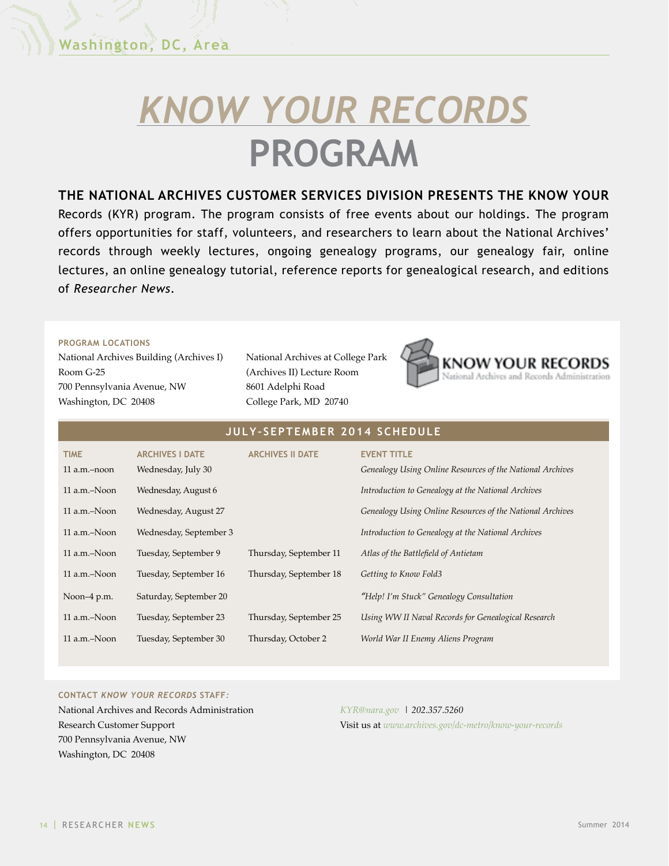# <span id="page-13-0"></span>*[KNOW YOUR RECORDS](http://www.archives.gov/dc-metro/know-your-records/)* **[PROGRAM](http://www.archives.gov/dc-metro/know-your-records/)**

#### **THE NATIONAL ARCHIVES CUSTOMER SERVICES DIVISION PRESENTS THE KNOW YOUR**

Records (KYR) program. The program consists of free events about our holdings. The program offers opportunities for staff, volunteers, and researchers to learn about the National Archives' records through weekly lectures, ongoing genealogy programs, our genealogy fair, online lectures, an online genealogy tutorial, reference reports for genealogical research, and editions of *Researcher News*.

#### **PROGRAM LOCATIONS**

National Archives Building (Archives I) Room G-25 700 Pennsylvania Avenue, NW Washington, DC 20408

National Archives at College Park (Archives II) Lecture Room 8601 Adelphi Road College Park, MD 20740



#### **JUL Y– SEPTEMBER 2014 SCHEDULE**

| <b>TIME</b><br>$11$ a.m. $-$ noon | <b>ARCHIVES I DATE</b><br>Wednesday, July 30 | <b>ARCHIVES II DATE</b> | <b>EVENT TITLE</b><br>Genealogy Using Online Resources of the National Archives |
|-----------------------------------|----------------------------------------------|-------------------------|---------------------------------------------------------------------------------|
| 11 a.m.-Noon                      | Wednesday, August 6                          |                         | Introduction to Genealogy at the National Archives                              |
| 11 a.m.-Noon                      | Wednesday, August 27                         |                         | Genealogy Using Online Resources of the National Archives                       |
| 11 a.m.-Noon                      | Wednesday, September 3                       |                         | Introduction to Genealogy at the National Archives                              |
| 11 a.m.-Noon                      | Tuesday, September 9                         | Thursday, September 11  | Atlas of the Battlefield of Antietam                                            |
| 11 a.m.–Noon                      | Tuesday, September 16                        | Thursday, September 18  | Getting to Know Fold3                                                           |
| Noon-4 p.m.                       | Saturday, September 20                       |                         | "Help! I'm Stuck" Genealogy Consultation                                        |
| 11 a.m.-Noon                      | Tuesday, September 23                        | Thursday, September 25  | Using WW II Naval Records for Genealogical Research                             |
| 11 a.m.–Noon                      | Tuesday, September 30                        | Thursday, October 2     | World War II Enemy Aliens Program                                               |

#### **CONTACT** *KNOW YOUR RECORDS* **STAFF***:*

National Archives and Records Administration Research Customer Support 700 Pennsylvania Avenue, NW Washington, DC 20408

*[KYR@nara.gov](mailto:KYR@nara.gov) | 202.357.5260* Visit us at *<www.archives.gov/dc-metro/know-your-records>*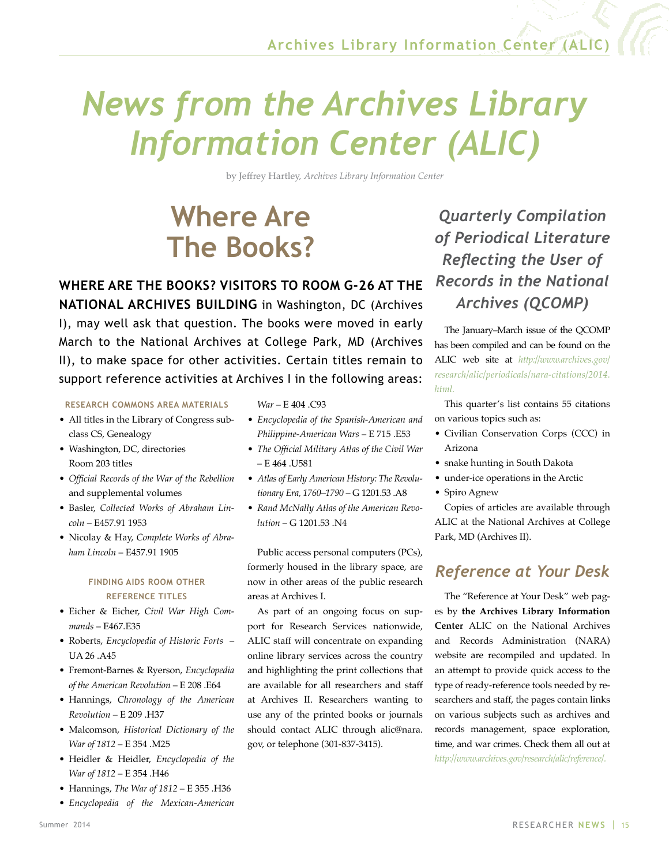## <span id="page-14-0"></span>*News from the Archives Library Information Center (ALIC)*

by Jeffrey Hartley, *Archives Library Information Center*

### **Where Are The Books?**

**WHERE ARE THE BOOKS? VISITORS TO ROOM G-26 AT THE NATIONAL ARCHIVES BUILDING** in Washington, DC (Archives I), may well ask that question. The books were moved in early March to the National Archives at College Park, MD (Archives II), to make space for other activities. Certain titles remain to support reference activities at Archives I in the following areas:

**RESEARCH COMMONS AREA MATERIALS**

- All titles in the Library of Congress subclass CS, Genealogy
- Washington, DC, directories Room 203 titles
- *Official Records of the War of the Rebellion* and supplemental volumes
- Basler, *Collected Works of Abraham Lincoln* – E457.91 1953
- Nicolay & Hay, *Complete Works of Abraham Lincoln* – E457.91 1905

#### **FINDING AIDS ROOM OTHER REFERENCE TITLES**

- Eicher & Eicher, *Civil War High Commands* – E467.E35
- Roberts, *Encyclopedia of Historic Forts* UA 26 .A45
- Fremont-Barnes & Ryerson, *Encyclopedia of the American Revolution* – E 208 .E64
- Hannings, *Chronology of the American Revolution* – E 209 .H37
- Malcomson, *Historical Dictionary of the War of 1812* – E 354 .M25
- Heidler & Heidler, *Encyclopedia of the War of 1812* – E 354 .H46
- Hannings, *The War of 1812* E 355 .H36
- *Encyclopedia of the Mexican-American*

*War* – E 404 .C93

- *Encyclopedia of the Spanish-American and Philippine-American Wars* – E 715 .E53
- *The Official Military Atlas of the Civil War* – E 464 .U581
- *Atlas of Early American History: The Revolutionary Era, 1760–1790* – G 1201.53 .A8
- *Rand McNally Atlas of the American Revolution* – G 1201.53 .N4

Public access personal computers (PCs), formerly housed in the library space, are now in other areas of the public research areas at Archives I.

As part of an ongoing focus on support for Research Services nationwide, ALIC staff will concentrate on expanding online library services across the country and highlighting the print collections that are available for all researchers and staff at Archives II. Researchers wanting to use any of the printed books or journals should contact ALIC through [alic@nara.](mailto:alic@nara.gov) [gov,](mailto:alic@nara.gov) or telephone (301-837-3415).

*Quarterly Compilation of Periodical Literature Reflecting the User of Records in the National Archives (QCOMP)*

The January–March issue of the QCOMP has been compiled and can be found on the ALIC web site at *[http://www.archives.gov/](http://www.archives.gov/research/alic/periodicals/nara-citations/2014.html) [research/alic/periodicals/nara-citations/2014.](http://www.archives.gov/research/alic/periodicals/nara-citations/2014.html) [html.](http://www.archives.gov/research/alic/periodicals/nara-citations/2014.html)* 

This quarter's list contains 55 citations on various topics such as:

- Civilian Conservation Corps (CCC) in Arizona
- snake hunting in South Dakota
- under-ice operations in the Arctic
- Spiro Agnew

Copies of articles are available through ALIC at the National Archives at College Park, MD (Archives II).

### *Reference at Your Desk*

The "Reference at Your Desk" web pages by **the Archives Library Information Center** ALIC on the National Archives and Records Administration (NARA) website are recompiled and updated. In an attempt to provide quick access to the type of ready-reference tools needed by researchers and staff, the pages contain links on various subjects such as archives and records management, space exploration, time, and war crimes. Check them all out at *[http://www.archives.gov/research/alic/reference/.](http://www.archives.gov/research/alic/reference/)*